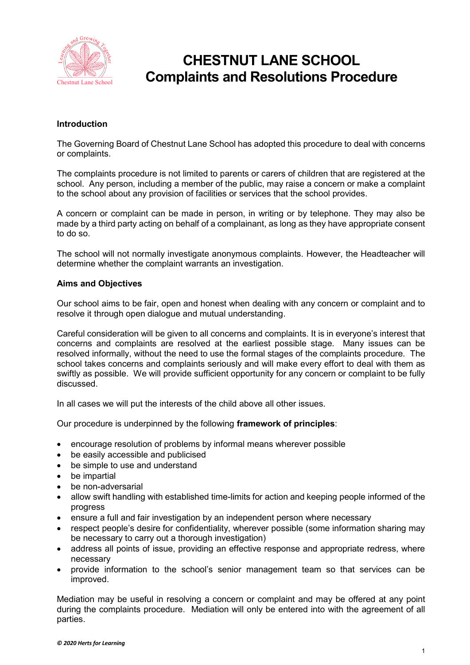

# **CHESTNUT LANE SCHOOL Complaints and Resolutions Procedure**

#### **Introduction**

The Governing Board of Chestnut Lane School has adopted this procedure to deal with concerns or complaints.

The complaints procedure is not limited to parents or carers of children that are registered at the school. Any person, including a member of the public, may raise a concern or make a complaint to the school about any provision of facilities or services that the school provides.

A concern or complaint can be made in person, in writing or by telephone. They may also be made by a third party acting on behalf of a complainant, as long as they have appropriate consent to do so.

The school will not normally investigate anonymous complaints. However, the Headteacher will determine whether the complaint warrants an investigation.

#### **Aims and Objectives**

Our school aims to be fair, open and honest when dealing with any concern or complaint and to resolve it through open dialogue and mutual understanding.

Careful consideration will be given to all concerns and complaints. It is in everyone's interest that concerns and complaints are resolved at the earliest possible stage. Many issues can be resolved informally, without the need to use the formal stages of the complaints procedure. The school takes concerns and complaints seriously and will make every effort to deal with them as swiftly as possible. We will provide sufficient opportunity for any concern or complaint to be fully discussed.

In all cases we will put the interests of the child above all other issues.

Our procedure is underpinned by the following **framework of principles**:

- encourage resolution of problems by informal means wherever possible
- be easily accessible and publicised
- be simple to use and understand
- be impartial
- be non-adversarial
- allow swift handling with established time-limits for action and keeping people informed of the progress
- ensure a full and fair investigation by an independent person where necessary
- respect people's desire for confidentiality, wherever possible (some information sharing may be necessary to carry out a thorough investigation)
- address all points of issue, providing an effective response and appropriate redress, where necessary
- provide information to the school's senior management team so that services can be improved.

Mediation may be useful in resolving a concern or complaint and may be offered at any point during the complaints procedure. Mediation will only be entered into with the agreement of all parties.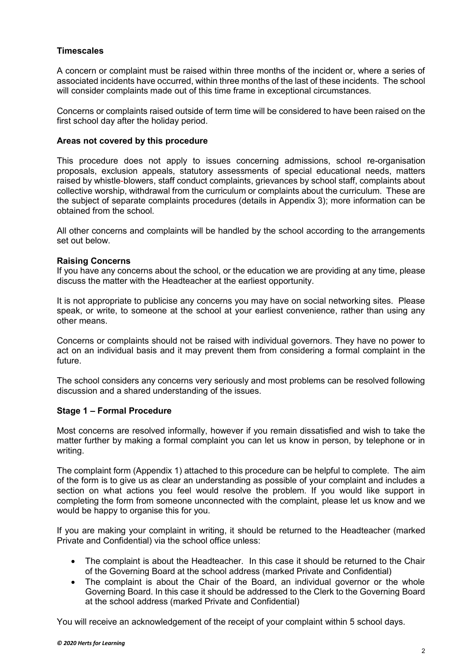#### **Timescales**

A concern or complaint must be raised within three months of the incident or, where a series of associated incidents have occurred, within three months of the last of these incidents. The school will consider complaints made out of this time frame in exceptional circumstances.

Concerns or complaints raised outside of term time will be considered to have been raised on the first school day after the holiday period.

#### **Areas not covered by this procedure**

This procedure does not apply to issues concerning admissions, school re-organisation proposals, exclusion appeals, statutory assessments of special educational needs, matters raised by whistle-blowers, staff conduct complaints, grievances by school staff, complaints about collective worship, withdrawal from the curriculum or complaints about the curriculum. These are the subject of separate complaints procedures (details in Appendix 3); more information can be obtained from the school.

All other concerns and complaints will be handled by the school according to the arrangements set out below.

#### **Raising Concerns**

If you have any concerns about the school, or the education we are providing at any time, please discuss the matter with the Headteacher at the earliest opportunity.

It is not appropriate to publicise any concerns you may have on social networking sites. Please speak, or write, to someone at the school at your earliest convenience, rather than using any other means.

Concerns or complaints should not be raised with individual governors. They have no power to act on an individual basis and it may prevent them from considering a formal complaint in the future.

The school considers any concerns very seriously and most problems can be resolved following discussion and a shared understanding of the issues.

#### **Stage 1 – Formal Procedure**

Most concerns are resolved informally, however if you remain dissatisfied and wish to take the matter further by making a formal complaint you can let us know in person, by telephone or in writing.

The complaint form (Appendix 1) attached to this procedure can be helpful to complete. The aim of the form is to give us as clear an understanding as possible of your complaint and includes a section on what actions you feel would resolve the problem. If you would like support in completing the form from someone unconnected with the complaint, please let us know and we would be happy to organise this for you.

If you are making your complaint in writing, it should be returned to the Headteacher (marked Private and Confidential) via the school office unless:

- The complaint is about the Headteacher. In this case it should be returned to the Chair of the Governing Board at the school address (marked Private and Confidential)
- The complaint is about the Chair of the Board, an individual governor or the whole Governing Board. In this case it should be addressed to the Clerk to the Governing Board at the school address (marked Private and Confidential)

You will receive an acknowledgement of the receipt of your complaint within 5 school days.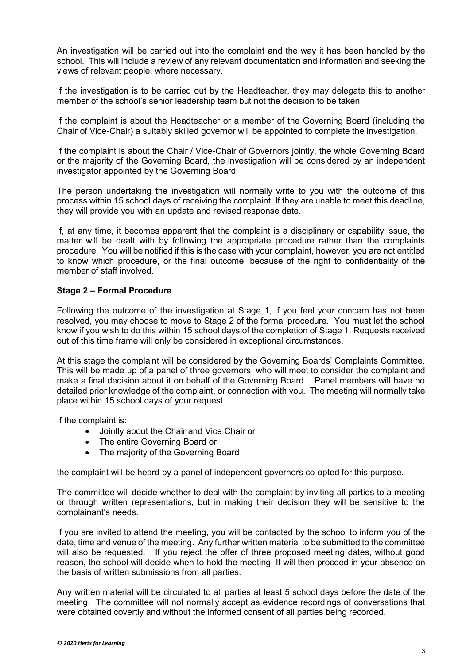An investigation will be carried out into the complaint and the way it has been handled by the school. This will include a review of any relevant documentation and information and seeking the views of relevant people, where necessary.

If the investigation is to be carried out by the Headteacher, they may delegate this to another member of the school's senior leadership team but not the decision to be taken.

If the complaint is about the Headteacher or a member of the Governing Board (including the Chair of Vice-Chair) a suitably skilled governor will be appointed to complete the investigation.

If the complaint is about the Chair / Vice-Chair of Governors jointly, the whole Governing Board or the majority of the Governing Board, the investigation will be considered by an independent investigator appointed by the Governing Board.

The person undertaking the investigation will normally write to you with the outcome of this process within 15 school days of receiving the complaint. If they are unable to meet this deadline, they will provide you with an update and revised response date.

If, at any time, it becomes apparent that the complaint is a disciplinary or capability issue, the matter will be dealt with by following the appropriate procedure rather than the complaints procedure. You will be notified if this is the case with your complaint, however, you are not entitled to know which procedure, or the final outcome, because of the right to confidentiality of the member of staff involved.

#### **Stage 2 – Formal Procedure**

Following the outcome of the investigation at Stage 1, if you feel your concern has not been resolved, you may choose to move to Stage 2 of the formal procedure. You must let the school know if you wish to do this within 15 school days of the completion of Stage 1. Requests received out of this time frame will only be considered in exceptional circumstances.

At this stage the complaint will be considered by the Governing Boards' Complaints Committee. This will be made up of a panel of three governors, who will meet to consider the complaint and make a final decision about it on behalf of the Governing Board. Panel members will have no detailed prior knowledge of the complaint, or connection with you. The meeting will normally take place within 15 school days of your request.

If the complaint is:

- Jointly about the Chair and Vice Chair or
- The entire Governing Board or
- The majority of the Governing Board

the complaint will be heard by a panel of independent governors co-opted for this purpose.

The committee will decide whether to deal with the complaint by inviting all parties to a meeting or through written representations, but in making their decision they will be sensitive to the complainant's needs.

If you are invited to attend the meeting, you will be contacted by the school to inform you of the date, time and venue of the meeting. Any further written material to be submitted to the committee will also be requested. If you reject the offer of three proposed meeting dates, without good reason, the school will decide when to hold the meeting. It will then proceed in your absence on the basis of written submissions from all parties.

Any written material will be circulated to all parties at least 5 school days before the date of the meeting. The committee will not normally accept as evidence recordings of conversations that were obtained covertly and without the informed consent of all parties being recorded.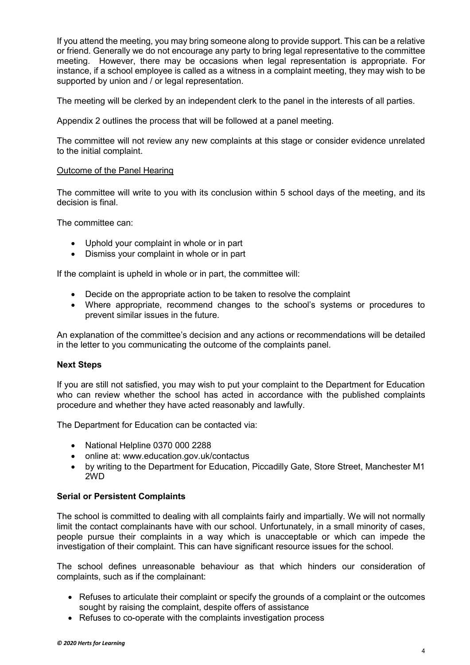If you attend the meeting, you may bring someone along to provide support. This can be a relative or friend. Generally we do not encourage any party to bring legal representative to the committee meeting. However, there may be occasions when legal representation is appropriate. For instance, if a school employee is called as a witness in a complaint meeting, they may wish to be supported by union and / or legal representation.

The meeting will be clerked by an independent clerk to the panel in the interests of all parties.

Appendix 2 outlines the process that will be followed at a panel meeting.

The committee will not review any new complaints at this stage or consider evidence unrelated to the initial complaint.

#### Outcome of the Panel Hearing

The committee will write to you with its conclusion within 5 school days of the meeting, and its decision is final.

The committee can:

- Uphold your complaint in whole or in part
- Dismiss your complaint in whole or in part

If the complaint is upheld in whole or in part, the committee will:

- Decide on the appropriate action to be taken to resolve the complaint
- Where appropriate, recommend changes to the school's systems or procedures to prevent similar issues in the future.

An explanation of the committee's decision and any actions or recommendations will be detailed in the letter to you communicating the outcome of the complaints panel.

#### **Next Steps**

If you are still not satisfied, you may wish to put your complaint to the Department for Education who can review whether the school has acted in accordance with the published complaints procedure and whether they have acted reasonably and lawfully.

The Department for Education can be contacted via:

- National Helpline 0370 000 2288
- online at: www.education.gov.uk/contactus
- by writing to the Department for Education, Piccadilly Gate, Store Street, Manchester M1 2WD

#### **Serial or Persistent Complaints**

The school is committed to dealing with all complaints fairly and impartially. We will not normally limit the contact complainants have with our school. Unfortunately, in a small minority of cases, people pursue their complaints in a way which is unacceptable or which can impede the investigation of their complaint. This can have significant resource issues for the school.

The school defines unreasonable behaviour as that which hinders our consideration of complaints, such as if the complainant:

- Refuses to articulate their complaint or specify the grounds of a complaint or the outcomes sought by raising the complaint, despite offers of assistance
- Refuses to co-operate with the complaints investigation process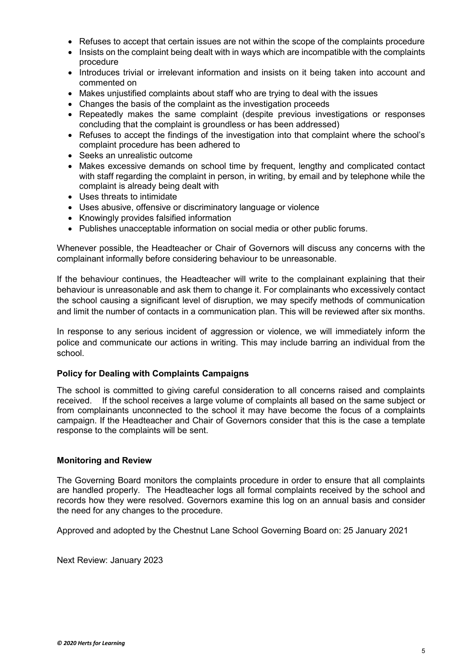- Refuses to accept that certain issues are not within the scope of the complaints procedure
- Insists on the complaint being dealt with in ways which are incompatible with the complaints procedure
- Introduces trivial or irrelevant information and insists on it being taken into account and commented on
- Makes unjustified complaints about staff who are trying to deal with the issues
- Changes the basis of the complaint as the investigation proceeds
- Repeatedly makes the same complaint (despite previous investigations or responses concluding that the complaint is groundless or has been addressed)
- Refuses to accept the findings of the investigation into that complaint where the school's complaint procedure has been adhered to
- Seeks an unrealistic outcome
- Makes excessive demands on school time by frequent, lengthy and complicated contact with staff regarding the complaint in person, in writing, by email and by telephone while the complaint is already being dealt with
- Uses threats to intimidate
- Uses abusive, offensive or discriminatory language or violence
- Knowingly provides falsified information
- Publishes unacceptable information on social media or other public forums.

Whenever possible, the Headteacher or Chair of Governors will discuss any concerns with the complainant informally before considering behaviour to be unreasonable.

If the behaviour continues, the Headteacher will write to the complainant explaining that their behaviour is unreasonable and ask them to change it. For complainants who excessively contact the school causing a significant level of disruption, we may specify methods of communication and limit the number of contacts in a communication plan. This will be reviewed after six months.

In response to any serious incident of aggression or violence, we will immediately inform the police and communicate our actions in writing. This may include barring an individual from the school.

#### **Policy for Dealing with Complaints Campaigns**

The school is committed to giving careful consideration to all concerns raised and complaints received. If the school receives a large volume of complaints all based on the same subject or from complainants unconnected to the school it may have become the focus of a complaints campaign. If the Headteacher and Chair of Governors consider that this is the case a template response to the complaints will be sent.

#### **Monitoring and Review**

The Governing Board monitors the complaints procedure in order to ensure that all complaints are handled properly. The Headteacher logs all formal complaints received by the school and records how they were resolved. Governors examine this log on an annual basis and consider the need for any changes to the procedure.

Approved and adopted by the Chestnut Lane School Governing Board on: 25 January 2021

Next Review: January 2023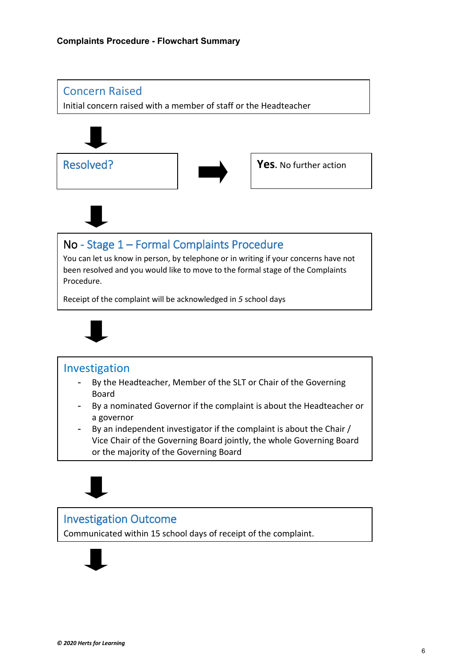

### Investigation Outcome

Communicated within 15 school days of receipt of the complaint.

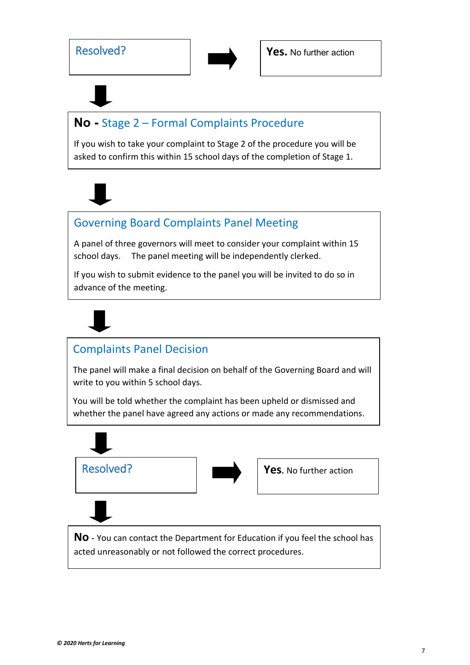

# **No -** Stage 2 – Formal Complaints Procedure

If you wish to take your complaint to Stage 2 of the procedure you will be asked to confirm this within 15 school days of the completion of Stage 1.

# Governing Board Complaints Panel Meeting

A panel of three governors will meet to consider your complaint within 15 school days. The panel meeting will be independently clerked.

If you wish to submit evidence to the panel you will be invited to do so in advance of the meeting.



# Complaints Panel Decision

The panel will make a final decision on behalf of the Governing Board and will write to you within 5 school days.

You will be told whether the complaint has been upheld or dismissed and whether the panel have agreed any actions or made any recommendations.

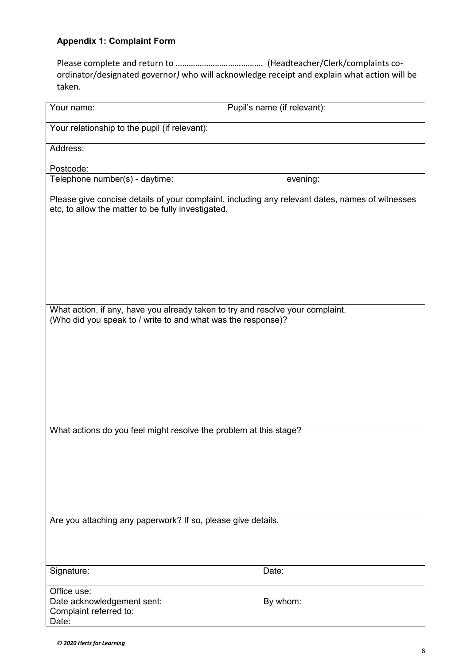#### **Appendix 1: Complaint Form**

Please complete and return to …………………………………. (Headteacher/Clerk/complaints coordinator/designated governor*)* who will acknowledge receipt and explain what action will be taken.

| Your name:                                                                                                                                            | Pupil's name (if relevant): |
|-------------------------------------------------------------------------------------------------------------------------------------------------------|-----------------------------|
| Your relationship to the pupil (if relevant):                                                                                                         |                             |
| Address:                                                                                                                                              |                             |
| Postcode:                                                                                                                                             |                             |
| Telephone number(s) - daytime:                                                                                                                        | evening:                    |
| Please give concise details of your complaint, including any relevant dates, names of witnesses<br>etc, to allow the matter to be fully investigated. |                             |
|                                                                                                                                                       |                             |
| What action, if any, have you already taken to try and resolve your complaint.<br>(Who did you speak to / write to and what was the response)?        |                             |
|                                                                                                                                                       |                             |
|                                                                                                                                                       |                             |
| What actions do you feel might resolve the problem at this stage?                                                                                     |                             |
|                                                                                                                                                       |                             |
| Are you attaching any paperwork? If so, please give details.                                                                                          |                             |
| Signature:                                                                                                                                            | Date:                       |
| Office use:<br>Date acknowledgement sent:<br>Complaint referred to:<br>Date:                                                                          | By whom:                    |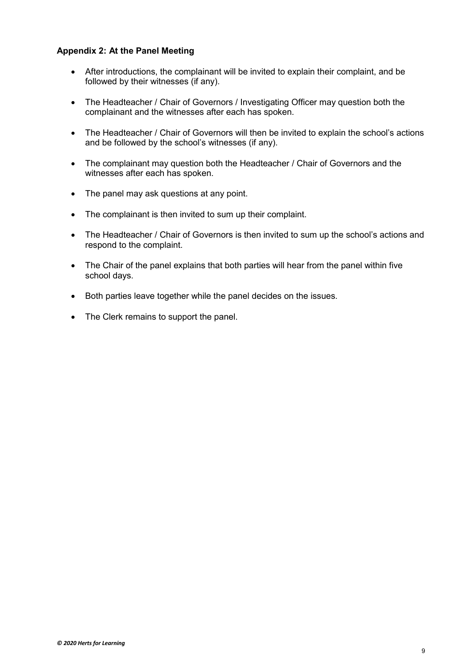#### **Appendix 2: At the Panel Meeting**

- After introductions, the complainant will be invited to explain their complaint, and be followed by their witnesses (if any).
- The Headteacher / Chair of Governors / Investigating Officer may question both the complainant and the witnesses after each has spoken.
- The Headteacher / Chair of Governors will then be invited to explain the school's actions and be followed by the school's witnesses (if any).
- The complainant may question both the Headteacher / Chair of Governors and the witnesses after each has spoken.
- The panel may ask questions at any point.
- The complainant is then invited to sum up their complaint.
- The Headteacher / Chair of Governors is then invited to sum up the school's actions and respond to the complaint.
- The Chair of the panel explains that both parties will hear from the panel within five school days.
- Both parties leave together while the panel decides on the issues.
- The Clerk remains to support the panel.